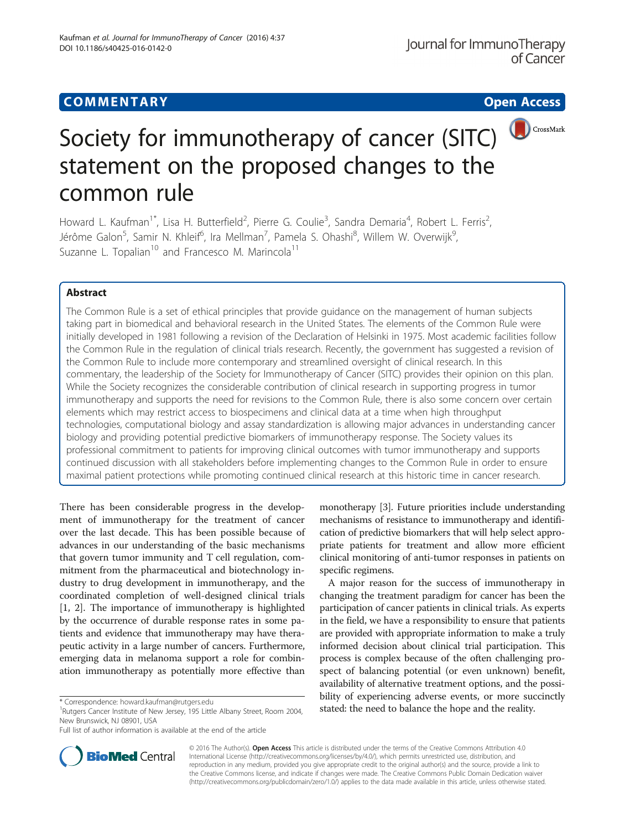## **COMMENTARY COMMENTARY Open Access**



# Society for immunotherapy of cancer (SITC) statement on the proposed changes to the common rule

Howard L. Kaufman<sup>1\*</sup>, Lisa H. Butterfield<sup>2</sup>, Pierre G. Coulie<sup>3</sup>, Sandra Demaria<sup>4</sup>, Robert L. Ferris<sup>2</sup> , Jérôme Galon<sup>5</sup>, Samir N. Khleif<sup>6</sup>, Ira Mellman<sup>7</sup>, Pamela S. Ohashi<sup>8</sup>, Willem W. Overwijk<sup>9</sup> , Suzanne L. Topalian<sup>10</sup> and Francesco M. Marincola<sup>11</sup>

### Abstract

The Common Rule is a set of ethical principles that provide guidance on the management of human subjects taking part in biomedical and behavioral research in the United States. The elements of the Common Rule were initially developed in 1981 following a revision of the Declaration of Helsinki in 1975. Most academic facilities follow the Common Rule in the regulation of clinical trials research. Recently, the government has suggested a revision of the Common Rule to include more contemporary and streamlined oversight of clinical research. In this commentary, the leadership of the Society for Immunotherapy of Cancer (SITC) provides their opinion on this plan. While the Society recognizes the considerable contribution of clinical research in supporting progress in tumor immunotherapy and supports the need for revisions to the Common Rule, there is also some concern over certain elements which may restrict access to biospecimens and clinical data at a time when high throughput technologies, computational biology and assay standardization is allowing major advances in understanding cancer biology and providing potential predictive biomarkers of immunotherapy response. The Society values its professional commitment to patients for improving clinical outcomes with tumor immunotherapy and supports continued discussion with all stakeholders before implementing changes to the Common Rule in order to ensure maximal patient protections while promoting continued clinical research at this historic time in cancer research.

There has been considerable progress in the development of immunotherapy for the treatment of cancer over the last decade. This has been possible because of advances in our understanding of the basic mechanisms that govern tumor immunity and T cell regulation, commitment from the pharmaceutical and biotechnology industry to drug development in immunotherapy, and the coordinated completion of well-designed clinical trials [[1, 2](#page-2-0)]. The importance of immunotherapy is highlighted by the occurrence of durable response rates in some patients and evidence that immunotherapy may have therapeutic activity in a large number of cancers. Furthermore, emerging data in melanoma support a role for combination immunotherapy as potentially more effective than

monotherapy [[3\]](#page-2-0). Future priorities include understanding mechanisms of resistance to immunotherapy and identification of predictive biomarkers that will help select appropriate patients for treatment and allow more efficient clinical monitoring of anti-tumor responses in patients on specific regimens.

A major reason for the success of immunotherapy in changing the treatment paradigm for cancer has been the participation of cancer patients in clinical trials. As experts in the field, we have a responsibility to ensure that patients are provided with appropriate information to make a truly informed decision about clinical trial participation. This process is complex because of the often challenging prospect of balancing potential (or even unknown) benefit, availability of alternative treatment options, and the possibility of experiencing adverse events, or more succinctly stated: the need to balance the hope and the reality. \* Correspondence: [howard.kaufman@rutgers.edu](mailto:howard.kaufman@rutgers.edu) <sup>1</sup>



© 2016 The Author(s). Open Access This article is distributed under the terms of the Creative Commons Attribution 4.0 International License [\(http://creativecommons.org/licenses/by/4.0/](http://creativecommons.org/licenses/by/4.0/)), which permits unrestricted use, distribution, and reproduction in any medium, provided you give appropriate credit to the original author(s) and the source, provide a link to the Creative Commons license, and indicate if changes were made. The Creative Commons Public Domain Dedication waiver [\(http://creativecommons.org/publicdomain/zero/1.0/](http://creativecommons.org/publicdomain/zero/1.0/)) applies to the data made available in this article, unless otherwise stated.

<sup>&</sup>lt;sup>1</sup>Rutgers Cancer Institute of New Jersey, 195 Little Albany Street, Room 2004, New Brunswick, NJ 08901, USA

Full list of author information is available at the end of the article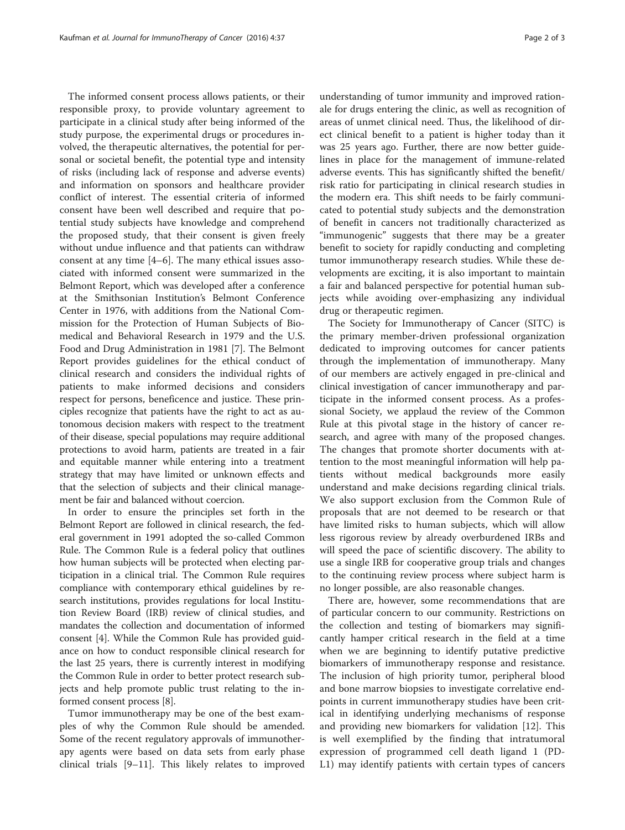The informed consent process allows patients, or their responsible proxy, to provide voluntary agreement to participate in a clinical study after being informed of the study purpose, the experimental drugs or procedures involved, the therapeutic alternatives, the potential for personal or societal benefit, the potential type and intensity of risks (including lack of response and adverse events) and information on sponsors and healthcare provider conflict of interest. The essential criteria of informed consent have been well described and require that potential study subjects have knowledge and comprehend the proposed study, that their consent is given freely without undue influence and that patients can withdraw consent at any time [\[4](#page-2-0)–[6\]](#page-2-0). The many ethical issues associated with informed consent were summarized in the Belmont Report, which was developed after a conference at the Smithsonian Institution's Belmont Conference Center in 1976, with additions from the National Commission for the Protection of Human Subjects of Biomedical and Behavioral Research in 1979 and the U.S. Food and Drug Administration in 1981 [[7\]](#page-2-0). The Belmont Report provides guidelines for the ethical conduct of clinical research and considers the individual rights of patients to make informed decisions and considers respect for persons, beneficence and justice. These principles recognize that patients have the right to act as autonomous decision makers with respect to the treatment of their disease, special populations may require additional protections to avoid harm, patients are treated in a fair and equitable manner while entering into a treatment strategy that may have limited or unknown effects and that the selection of subjects and their clinical management be fair and balanced without coercion.

In order to ensure the principles set forth in the Belmont Report are followed in clinical research, the federal government in 1991 adopted the so-called Common Rule. The Common Rule is a federal policy that outlines how human subjects will be protected when electing participation in a clinical trial. The Common Rule requires compliance with contemporary ethical guidelines by research institutions, provides regulations for local Institution Review Board (IRB) review of clinical studies, and mandates the collection and documentation of informed consent [\[4](#page-2-0)]. While the Common Rule has provided guidance on how to conduct responsible clinical research for the last 25 years, there is currently interest in modifying the Common Rule in order to better protect research subjects and help promote public trust relating to the informed consent process [\[8](#page-2-0)].

Tumor immunotherapy may be one of the best examples of why the Common Rule should be amended. Some of the recent regulatory approvals of immunotherapy agents were based on data sets from early phase clinical trials [\[9](#page-2-0)–[11\]](#page-2-0). This likely relates to improved

understanding of tumor immunity and improved rationale for drugs entering the clinic, as well as recognition of areas of unmet clinical need. Thus, the likelihood of direct clinical benefit to a patient is higher today than it was 25 years ago. Further, there are now better guidelines in place for the management of immune-related adverse events. This has significantly shifted the benefit/ risk ratio for participating in clinical research studies in the modern era. This shift needs to be fairly communicated to potential study subjects and the demonstration of benefit in cancers not traditionally characterized as "immunogenic" suggests that there may be a greater benefit to society for rapidly conducting and completing tumor immunotherapy research studies. While these developments are exciting, it is also important to maintain a fair and balanced perspective for potential human subjects while avoiding over-emphasizing any individual drug or therapeutic regimen.

The Society for Immunotherapy of Cancer (SITC) is the primary member-driven professional organization dedicated to improving outcomes for cancer patients through the implementation of immunotherapy. Many of our members are actively engaged in pre-clinical and clinical investigation of cancer immunotherapy and participate in the informed consent process. As a professional Society, we applaud the review of the Common Rule at this pivotal stage in the history of cancer research, and agree with many of the proposed changes. The changes that promote shorter documents with attention to the most meaningful information will help patients without medical backgrounds more easily understand and make decisions regarding clinical trials. We also support exclusion from the Common Rule of proposals that are not deemed to be research or that have limited risks to human subjects, which will allow less rigorous review by already overburdened IRBs and will speed the pace of scientific discovery. The ability to use a single IRB for cooperative group trials and changes to the continuing review process where subject harm is no longer possible, are also reasonable changes.

There are, however, some recommendations that are of particular concern to our community. Restrictions on the collection and testing of biomarkers may significantly hamper critical research in the field at a time when we are beginning to identify putative predictive biomarkers of immunotherapy response and resistance. The inclusion of high priority tumor, peripheral blood and bone marrow biopsies to investigate correlative endpoints in current immunotherapy studies have been critical in identifying underlying mechanisms of response and providing new biomarkers for validation [[12\]](#page-2-0). This is well exemplified by the finding that intratumoral expression of programmed cell death ligand 1 (PD-L1) may identify patients with certain types of cancers